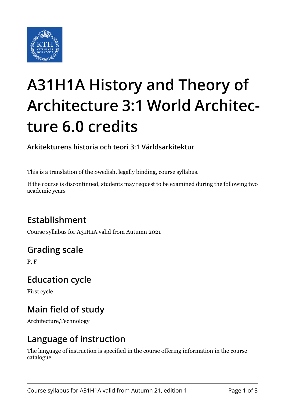

# **A31H1A History and Theory of Architecture 3:1 World Architecture 6.0 credits**

**Arkitekturens historia och teori 3:1 Världsarkitektur**

This is a translation of the Swedish, legally binding, course syllabus.

If the course is discontinued, students may request to be examined during the following two academic years

# **Establishment**

Course syllabus for A31H1A valid from Autumn 2021

# **Grading scale**

P, F

#### **Education cycle**

First cycle

# **Main field of study**

Architecture,Technology

#### **Language of instruction**

The language of instruction is specified in the course offering information in the course catalogue.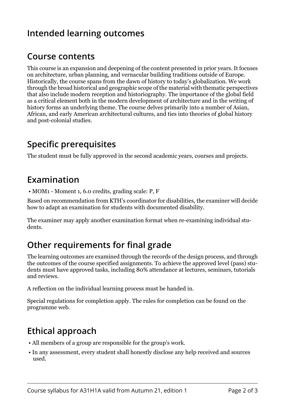# **Intended learning outcomes**

#### **Course contents**

This course is an expansion and deepening of the content presented in prior years. It focuses on architecture, urban planning, and vernacular building traditions outside of Europe. Historically, the course spans from the dawn of history to today's globalization. We work through the broad historical and geographic scope of the material with thematic perspectives that also include modern reception and historiography. The importance of the global field as a critical element both in the modern development of architecture and in the writing of history forms an underlying theme. The course delves primarily into a number of Asian, African, and early American architectural cultures, and ties into theories of global history and post-colonial studies.

#### **Specific prerequisites**

The student must be fully approved in the second academic years, courses and projects.

#### **Examination**

• MOM1 - Moment 1, 6.0 credits, grading scale: P, F

Based on recommendation from KTH's coordinator for disabilities, the examiner will decide how to adapt an examination for students with documented disability.

The examiner may apply another examination format when re-examining individual students.

# **Other requirements for final grade**

The learning outcomes are examined through the records of the design process, and through the outcomes of the course specified assignments. To achieve the approved level (pass) students must have approved tasks, including 80% attendance at lectures, seminars, tutorials and reviews.

A reflection on the individual learning process must be handed in.

Special regulations for completion apply. The rules for completion can be found on the programme web.

# **Ethical approach**

- All members of a group are responsible for the group's work.
- In any assessment, every student shall honestly disclose any help received and sources used.